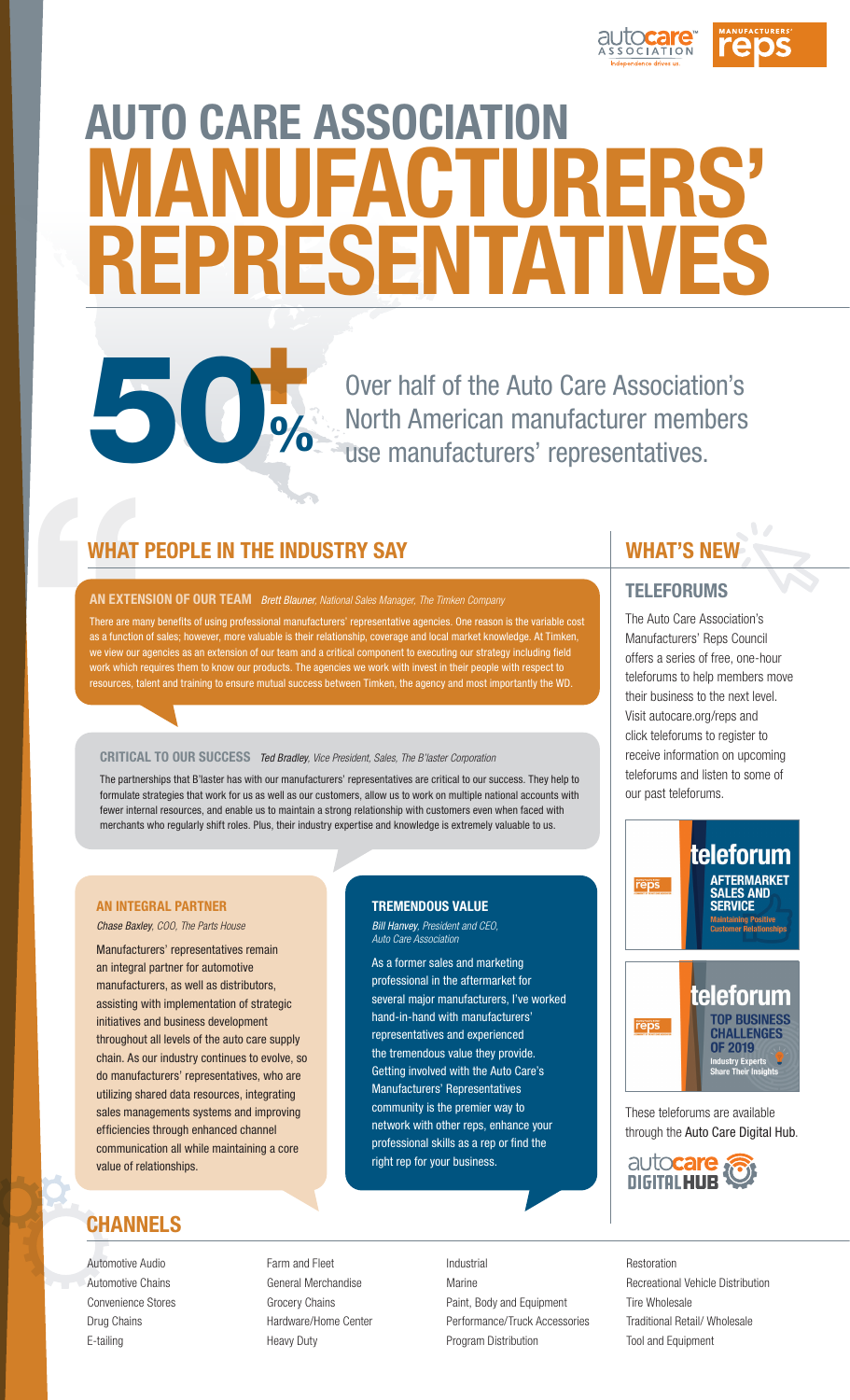

# AUTO CARE ASSOCIATION MANUFACTURERS' REPRESENTATIVES +

Over half of the Auto Care Association's North American manufacturer members use manufacturers' representatives.

## WHAT PEOPLE IN THE INDUSTRY SAY

50%

AN EXTENSION OF OUR TEAM *Brett Blauner, National Sales Manager, The Timken Company*

WHAT<br>
AN EXTENS<br>
There are man<br>
as a function c<br>
we view our ag<br>
work which re<br>
resources, tale There are many benefits of using professional manufacturers' representative agencies. One reason is the variable cost as a function of sales; however, more valuable is their relationship, coverage and local market knowledge. At Timken, we view our agencies as an extension of our team and a critical component to executing our strategy including field work which requires them to know our products. The agencies we work with invest in their people with respect to resources, talent and training to ensure mutual success between Timken, the agency and most importantly the WD.

#### CRITICAL TO OUR SUCCESS *Ted Bradley, Vice President, Sales, The B'laster Corporation*

The partnerships that B'laster has with our manufacturers' representatives are critical to our success. They help to formulate strategies that work for us as well as our customers, allow us to work on multiple national accounts with fewer internal resources, and enable us to maintain a strong relationship with customers even when faced with merchants who regularly shift roles. Plus, their industry expertise and knowledge is extremely valuable to us.

#### AN INTEGRAL PARTNER

*Chase Baxley, COO, The Parts House*

Manufacturers' representatives remain an integral partner for automotive manufacturers, as well as distributors, assisting with implementation of strategic initiatives and business development throughout all levels of the auto care supply chain. As our industry continues to evolve, so do manufacturers' representatives, who are utilizing shared data resources, integrating sales managements systems and improving efficiencies through enhanced channel communication all while maintaining a core value of relationships.

# CHANNELS

Automotive Audio Automotive Chains Convenience Stores Drug Chains E-tailing

#### TREMENDOUS VALUE *Bill Hanvey, President and CEO,*

*Auto Care Association*

As a former sales and marketing professional in the aftermarket for several major manufacturers, I've worked hand-in-hand with manufacturers' representatives and experienced the tremendous value they provide. Getting involved with the Auto Care's Manufacturers' Representatives community is the premier way to network with other reps, enhance your professional skills as a rep or find the right rep for your business.

Farm and Fleet General Merchandise Grocery Chains Hardware/Home Center Heavy Duty

Industrial Marine Paint, Body and Equipment Performance/Truck Accessories Program Distribution

# WHAT'S NEW

#### **TELEFORUMS**

The Auto Care Association's Manufacturers' Reps Council offers a series of free, one-hour teleforums to help members move their business to the next level. Visit autocare.org/reps and click teleforums to register to receive information on upcoming teleforums and listen to some of our past teleforums.



These teleforums are available through the Auto Care Digital Hub.



Restoration Recreational Vehicle Distribution Tire Wholesale Traditional Retail/ Wholesale Tool and Equipment